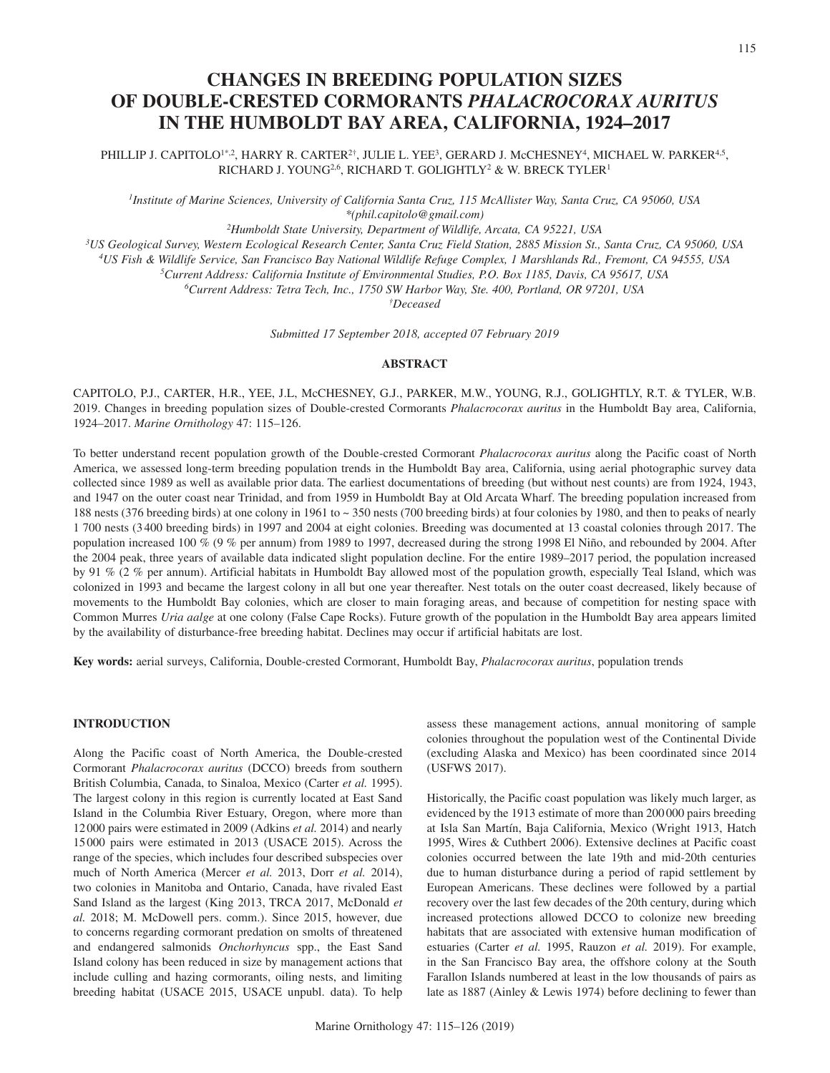# **CHANGES IN BREEDING POPULATION SIZES OF DOUBLE-CRESTED CORMORANTS** *PHALACROCORAX AURITUS* **IN THE HUMBOLDT BAY AREA, CALIFORNIA, 1924–2017**

PHILLIP J. CAPITOLO<sup>1\*,2</sup>, HARRY R. CARTER<sup>2†</sup>, JULIE L. YEE<sup>3</sup>, GERARD J. McCHESNEY<sup>4</sup>, MICHAEL W. PARKER<sup>4,5</sup>, RICHARD J. YOUNG<sup>2,6</sup>, RICHARD T. GOLIGHTLY<sup>2</sup> & W. BRECK TYLER<sup>1</sup>

*1Institute of Marine Sciences, University of California Santa Cruz, 115 McAllister Way, Santa Cruz, CA 95060, USA \*(phil.capitolo@gmail.com)*

*2Humboldt State University, Department of Wildlife, Arcata, CA 95221, USA*

*3US Geological Survey, Western Ecological Research Center, Santa Cruz Field Station, 2885 Mission St., Santa Cruz, CA 95060, USA*

*4US Fish & Wildlife Service, San Francisco Bay National Wildlife Refuge Complex, 1 Marshlands Rd., Fremont, CA 94555, USA*

*5Current Address: California Institute of Environmental Studies, P.O. Box 1185, Davis, CA 95617, USA*

*6Current Address: Tetra Tech, Inc., 1750 SW Harbor Way, Ste. 400, Portland, OR 97201, USA*

*†Deceased*

*Submitted 17 September 2018, accepted 07 February 2019*

# **ABSTRACT**

CAPITOLO, P.J., CARTER, H.R., YEE, J.L, McCHESNEY, G.J., PARKER, M.W., YOUNG, R.J., GOLIGHTLY, R.T. & TYLER, W.B. 2019. Changes in breeding population sizes of Double-crested Cormorants *Phalacrocorax auritus* in the Humboldt Bay area, California, 1924–2017. *Marine Ornithology* 47: 115–126.

To better understand recent population growth of the Double-crested Cormorant *Phalacrocorax auritus* along the Pacific coast of North America, we assessed long-term breeding population trends in the Humboldt Bay area, California, using aerial photographic survey data collected since 1989 as well as available prior data. The earliest documentations of breeding (but without nest counts) are from 1924, 1943, and 1947 on the outer coast near Trinidad, and from 1959 in Humboldt Bay at Old Arcata Wharf. The breeding population increased from 188 nests (376 breeding birds) at one colony in 1961 to ~ 350 nests (700 breeding birds) at four colonies by 1980, and then to peaks of nearly 1 700 nests (3400 breeding birds) in 1997 and 2004 at eight colonies. Breeding was documented at 13 coastal colonies through 2017. The population increased 100 % (9 % per annum) from 1989 to 1997, decreased during the strong 1998 El Niño, and rebounded by 2004. After the 2004 peak, three years of available data indicated slight population decline. For the entire 1989–2017 period, the population increased by 91 % (2 % per annum). Artificial habitats in Humboldt Bay allowed most of the population growth, especially Teal Island, which was colonized in 1993 and became the largest colony in all but one year thereafter. Nest totals on the outer coast decreased, likely because of movements to the Humboldt Bay colonies, which are closer to main foraging areas, and because of competition for nesting space with Common Murres *Uria aalge* at one colony (False Cape Rocks). Future growth of the population in the Humboldt Bay area appears limited by the availability of disturbance-free breeding habitat. Declines may occur if artificial habitats are lost.

**Key words:** aerial surveys, California, Double-crested Cormorant, Humboldt Bay, *Phalacrocorax auritus*, population trends

# **INTRODUCTION**

Along the Pacific coast of North America, the Double-crested Cormorant *Phalacrocorax auritus* (DCCO) breeds from southern British Columbia, Canada, to Sinaloa, Mexico (Carter *et al.* 1995). The largest colony in this region is currently located at East Sand Island in the Columbia River Estuary, Oregon, where more than 12000 pairs were estimated in 2009 (Adkins *et al.* 2014) and nearly 15000 pairs were estimated in 2013 (USACE 2015). Across the range of the species, which includes four described subspecies over much of North America (Mercer *et al.* 2013, Dorr *et al.* 2014), two colonies in Manitoba and Ontario, Canada, have rivaled East Sand Island as the largest (King 2013, TRCA 2017, McDonald *et al.* 2018; M. McDowell pers. comm.). Since 2015, however, due to concerns regarding cormorant predation on smolts of threatened and endangered salmonids *Onchorhyncus* spp., the East Sand Island colony has been reduced in size by management actions that include culling and hazing cormorants, oiling nests, and limiting breeding habitat (USACE 2015, USACE unpubl. data). To help assess these management actions, annual monitoring of sample colonies throughout the population west of the Continental Divide (excluding Alaska and Mexico) has been coordinated since 2014 (USFWS 2017).

Historically, the Pacific coast population was likely much larger, as evidenced by the 1913 estimate of more than 200000 pairs breeding at Isla San Martín, Baja California, Mexico (Wright 1913, Hatch 1995, Wires & Cuthbert 2006). Extensive declines at Pacific coast colonies occurred between the late 19th and mid-20th centuries due to human disturbance during a period of rapid settlement by European Americans. These declines were followed by a partial recovery over the last few decades of the 20th century, during which increased protections allowed DCCO to colonize new breeding habitats that are associated with extensive human modification of estuaries (Carter *et al.* 1995, Rauzon *et al.* 2019). For example, in the San Francisco Bay area, the offshore colony at the South Farallon Islands numbered at least in the low thousands of pairs as late as 1887 (Ainley & Lewis 1974) before declining to fewer than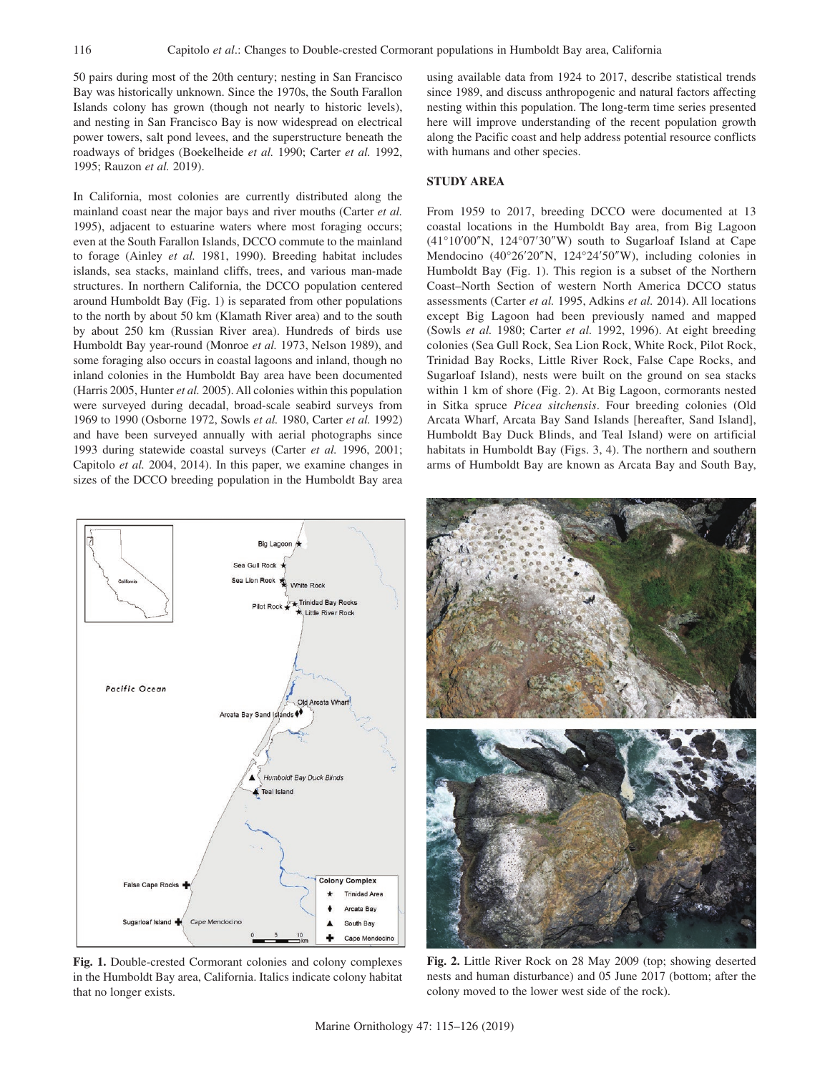50 pairs during most of the 20th century; nesting in San Francisco Bay was historically unknown. Since the 1970s, the South Farallon Islands colony has grown (though not nearly to historic levels), and nesting in San Francisco Bay is now widespread on electrical power towers, salt pond levees, and the superstructure beneath the roadways of bridges (Boekelheide *et al.* 1990; Carter *et al.* 1992, 1995; Rauzon *et al.* 2019).

In California, most colonies are currently distributed along the mainland coast near the major bays and river mouths (Carter *et al.* 1995), adjacent to estuarine waters where most foraging occurs; even at the South Farallon Islands, DCCO commute to the mainland to forage (Ainley *et al.* 1981, 1990). Breeding habitat includes islands, sea stacks, mainland cliffs, trees, and various man-made structures. In northern California, the DCCO population centered around Humboldt Bay (Fig. 1) is separated from other populations to the north by about 50 km (Klamath River area) and to the south by about 250 km (Russian River area). Hundreds of birds use Humboldt Bay year-round (Monroe *et al.* 1973, Nelson 1989), and some foraging also occurs in coastal lagoons and inland, though no inland colonies in the Humboldt Bay area have been documented (Harris 2005, Hunter *et al.* 2005). All colonies within this population were surveyed during decadal, broad-scale seabird surveys from 1969 to 1990 (Osborne 1972, Sowls *et al.* 1980, Carter *et al.* 1992) and have been surveyed annually with aerial photographs since 1993 during statewide coastal surveys (Carter *et al.* 1996, 2001; Capitolo *et al.* 2004, 2014). In this paper, we examine changes in sizes of the DCCO breeding population in the Humboldt Bay area



**Fig. 1.** Double-crested Cormorant colonies and colony complexes in the Humboldt Bay area, California. Italics indicate colony habitat that no longer exists.

using available data from 1924 to 2017, describe statistical trends since 1989, and discuss anthropogenic and natural factors affecting nesting within this population. The long-term time series presented here will improve understanding of the recent population growth along the Pacific coast and help address potential resource conflicts with humans and other species.

# **STUDY AREA**

From 1959 to 2017, breeding DCCO were documented at 13 coastal locations in the Humboldt Bay area, from Big Lagoon (41°10′00″N, 124°07′30″W) south to Sugarloaf Island at Cape Mendocino (40°26′20″N, 124°24′50″W), including colonies in Humboldt Bay (Fig. 1). This region is a subset of the Northern Coast–North Section of western North America DCCO status assessments (Carter *et al.* 1995, Adkins *et al.* 2014). All locations except Big Lagoon had been previously named and mapped (Sowls *et al.* 1980; Carter *et al.* 1992, 1996). At eight breeding colonies (Sea Gull Rock, Sea Lion Rock, White Rock, Pilot Rock, Trinidad Bay Rocks, Little River Rock, False Cape Rocks, and Sugarloaf Island), nests were built on the ground on sea stacks within 1 km of shore (Fig. 2). At Big Lagoon, cormorants nested in Sitka spruce *Picea sitchensis*. Four breeding colonies (Old Arcata Wharf, Arcata Bay Sand Islands [hereafter, Sand Island], Humboldt Bay Duck Blinds, and Teal Island) were on artificial habitats in Humboldt Bay (Figs. 3, 4). The northern and southern arms of Humboldt Bay are known as Arcata Bay and South Bay,



**Fig. 2.** Little River Rock on 28 May 2009 (top; showing deserted nests and human disturbance) and 05 June 2017 (bottom; after the colony moved to the lower west side of the rock).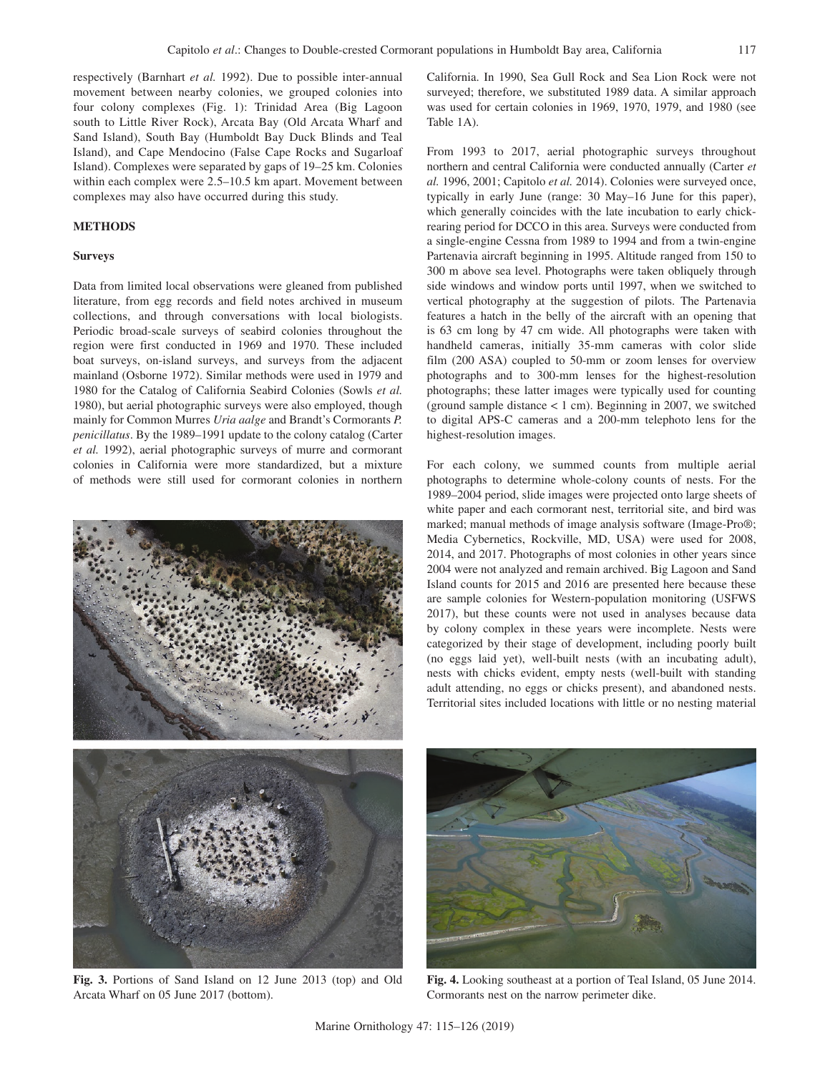respectively (Barnhart *et al.* 1992). Due to possible inter-annual movement between nearby colonies, we grouped colonies into four colony complexes (Fig. 1): Trinidad Area (Big Lagoon south to Little River Rock), Arcata Bay (Old Arcata Wharf and Sand Island), South Bay (Humboldt Bay Duck Blinds and Teal Island), and Cape Mendocino (False Cape Rocks and Sugarloaf Island). Complexes were separated by gaps of 19–25 km. Colonies within each complex were 2.5–10.5 km apart. Movement between complexes may also have occurred during this study.

# **METHODS**

# **Surveys**

Data from limited local observations were gleaned from published literature, from egg records and field notes archived in museum collections, and through conversations with local biologists. Periodic broad-scale surveys of seabird colonies throughout the region were first conducted in 1969 and 1970. These included boat surveys, on-island surveys, and surveys from the adjacent mainland (Osborne 1972). Similar methods were used in 1979 and 1980 for the Catalog of California Seabird Colonies (Sowls *et al.* 1980), but aerial photographic surveys were also employed, though mainly for Common Murres *Uria aalge* and Brandt's Cormorants *P. penicillatus*. By the 1989–1991 update to the colony catalog (Carter *et al.* 1992), aerial photographic surveys of murre and cormorant colonies in California were more standardized, but a mixture of methods were still used for cormorant colonies in northern



**Fig. 3.** Portions of Sand Island on 12 June 2013 (top) and Old Arcata Wharf on 05 June 2017 (bottom).

California. In 1990, Sea Gull Rock and Sea Lion Rock were not surveyed; therefore, we substituted 1989 data. A similar approach was used for certain colonies in 1969, 1970, 1979, and 1980 (see Table 1A).

From 1993 to 2017, aerial photographic surveys throughout northern and central California were conducted annually (Carter *et al.* 1996, 2001; Capitolo *et al.* 2014). Colonies were surveyed once, typically in early June (range: 30 May–16 June for this paper), which generally coincides with the late incubation to early chickrearing period for DCCO in this area. Surveys were conducted from a single-engine Cessna from 1989 to 1994 and from a twin-engine Partenavia aircraft beginning in 1995. Altitude ranged from 150 to 300 m above sea level. Photographs were taken obliquely through side windows and window ports until 1997, when we switched to vertical photography at the suggestion of pilots. The Partenavia features a hatch in the belly of the aircraft with an opening that is 63 cm long by 47 cm wide. All photographs were taken with handheld cameras, initially 35-mm cameras with color slide film (200 ASA) coupled to 50-mm or zoom lenses for overview photographs and to 300-mm lenses for the highest-resolution photographs; these latter images were typically used for counting (ground sample distance  $< 1$  cm). Beginning in 2007, we switched to digital APS-C cameras and a 200-mm telephoto lens for the highest-resolution images.

For each colony, we summed counts from multiple aerial photographs to determine whole-colony counts of nests. For the 1989–2004 period, slide images were projected onto large sheets of white paper and each cormorant nest, territorial site, and bird was marked; manual methods of image analysis software (Image-Pro®; Media Cybernetics, Rockville, MD, USA) were used for 2008, 2014, and 2017. Photographs of most colonies in other years since 2004 were not analyzed and remain archived. Big Lagoon and Sand Island counts for 2015 and 2016 are presented here because these are sample colonies for Western-population monitoring (USFWS 2017), but these counts were not used in analyses because data by colony complex in these years were incomplete. Nests were categorized by their stage of development, including poorly built (no eggs laid yet), well-built nests (with an incubating adult), nests with chicks evident, empty nests (well-built with standing adult attending, no eggs or chicks present), and abandoned nests. Territorial sites included locations with little or no nesting material



**Fig. 4.** Looking southeast at a portion of Teal Island, 05 June 2014. Cormorants nest on the narrow perimeter dike.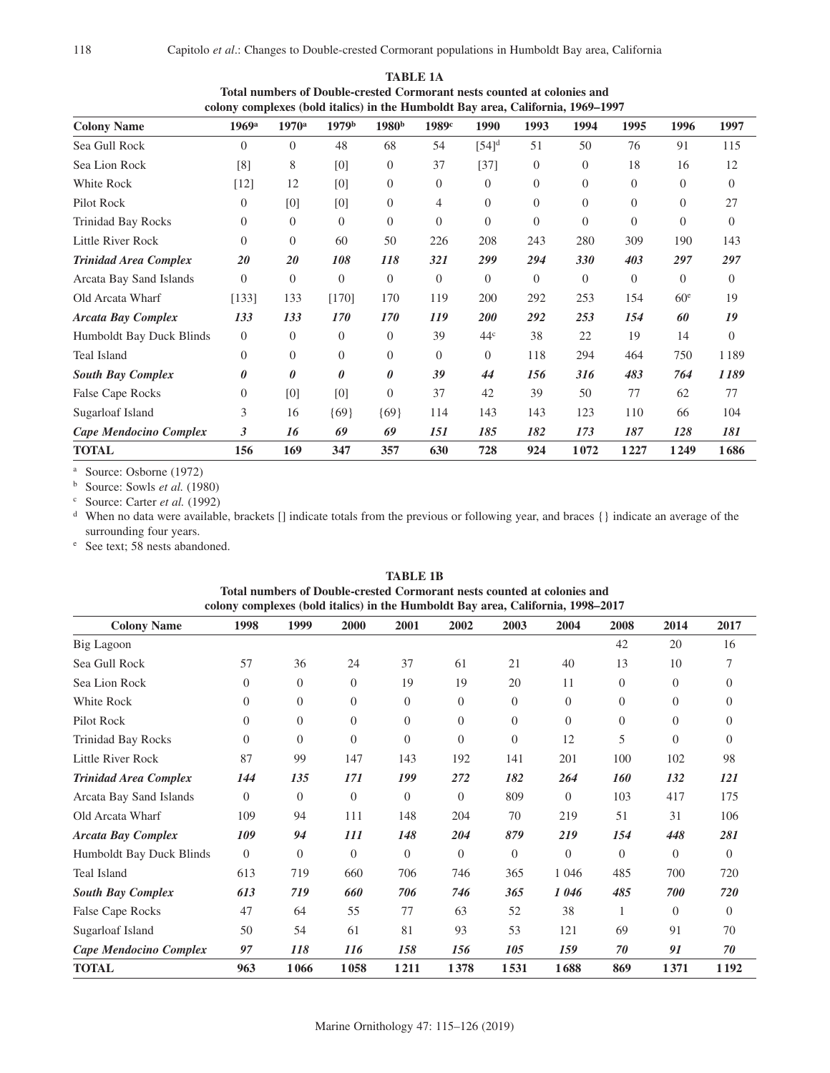| colony complexes (bold italics) in the Humboldt Bay area, California, 1969–1997 |                     |                |                   |                   |                   |                 |          |          |          |                 |          |
|---------------------------------------------------------------------------------|---------------------|----------------|-------------------|-------------------|-------------------|-----------------|----------|----------|----------|-----------------|----------|
| <b>Colony Name</b>                                                              | $1969$ <sup>a</sup> | $1970^{\rm a}$ | 1979 <sup>b</sup> | 1980 <sup>b</sup> | 1989 <sup>c</sup> | 1990            | 1993     | 1994     | 1995     | 1996            | 1997     |
| Sea Gull Rock                                                                   | $\Omega$            | $\Omega$       | 48                | 68                | 54                | $[54]^d$        | 51       | 50       | 76       | 91              | 115      |
| Sea Lion Rock                                                                   | [8]                 | 8              | [0]               | $\theta$          | 37                | $[37]$          | $\theta$ | $\theta$ | 18       | 16              | 12       |
| White Rock                                                                      | [12]                | 12             | [0]               | $\theta$          | 0                 | $\Omega$        | $\Omega$ | $\Omega$ | $\Omega$ | $\Omega$        | $\Omega$ |
| Pilot Rock                                                                      | $\overline{0}$      | [0]            | [0]               | $\theta$          | 4                 | $\Omega$        | $\Omega$ | $\theta$ | $\Omega$ | $\Omega$        | 27       |
| <b>Trinidad Bay Rocks</b>                                                       | $\Omega$            | $\Omega$       | $\Omega$          | $\Omega$          | $\Omega$          | $\Omega$        | $\Omega$ | $\Omega$ | $\Omega$ | $\Omega$        | $\Omega$ |
| Little River Rock                                                               | $\Omega$            | $\Omega$       | 60                | 50                | 226               | 208             | 243      | 280      | 309      | 190             | 143      |
| <b>Trinidad Area Complex</b>                                                    | 20                  | 20             | 108               | 118               | 321               | 299             | 294      | 330      | 403      | 297             | 297      |
| Arcata Bay Sand Islands                                                         | $\Omega$            | $\Omega$       | $\Omega$          | $\overline{0}$    | $\Omega$          | $\Omega$        | $\Omega$ | $\Omega$ | $\Omega$ | $\Omega$        | $\Omega$ |
| Old Arcata Wharf                                                                | [133]               | 133            | [170]             | 170               | 119               | 200             | 292      | 253      | 154      | 60 <sup>e</sup> | 19       |
| <b>Arcata Bay Complex</b>                                                       | 133                 | 133            | 170               | 170               | 119               | <b>200</b>      | 292      | 253      | 154      | 60              | 19       |
| Humboldt Bay Duck Blinds                                                        | $\theta$            | $\theta$       | $\Omega$          | $\Omega$          | 39                | 44 <sup>c</sup> | 38       | 22       | 19       | 14              | $\Omega$ |
| Teal Island                                                                     | $\Omega$            | $\Omega$       | $\Omega$          | $\Omega$          | $\Omega$          | $\Omega$        | 118      | 294      | 464      | 750             | 1189     |
| <b>South Bay Complex</b>                                                        | 0                   | 0              | $\theta$          | 0                 | 39                | 44              | 156      | 316      | 483      | 764             | 1189     |
| False Cape Rocks                                                                | $\Omega$            | [0]            | [0]               | $\Omega$          | 37                | 42              | 39       | 50       | 77       | 62              | 77       |
| Sugarloaf Island                                                                | 3                   | 16             | ${69}$            | ${69}$            | 114               | 143             | 143      | 123      | 110      | 66              | 104      |
| Cape Mendocino Complex                                                          | 3                   | 16             | 69                | 69                | 151               | 185             | 182      | 173      | 187      | 128             | 181      |
| <b>TOTAL</b>                                                                    | 156                 | 169            | 347               | 357               | 630               | 728             | 924      | 1072     | 1227     | 1249            | 1686     |

**TABLE 1A Total numbers of Double-crested Cormorant nests counted at colonies and colony complexes (bold italics) in the Humboldt Bay area, California, 1969–1997**

<sup>a</sup> Source: Osborne (1972)

<sup>b</sup> Source: Sowls *et al.* (1980)

<sup>c</sup> Source: Carter *et al.* (1992)

<sup>d</sup> When no data were available, brackets [] indicate totals from the previous or following year, and braces {} indicate an average of the surrounding four years.

<sup>e</sup> See text; 58 nests abandoned.

| colony complexes (bold italics) in the Humboldt Bay area, California, 1998–2017 |                |                |                |                  |                  |                  |                |                |              |                |
|---------------------------------------------------------------------------------|----------------|----------------|----------------|------------------|------------------|------------------|----------------|----------------|--------------|----------------|
| <b>Colony Name</b>                                                              | 1998           | 1999           | 2000           | 2001             | 2002             | 2003             | 2004           | 2008           | 2014         | 2017           |
| Big Lagoon                                                                      |                |                |                |                  |                  |                  |                | 42             | 20           | 16             |
| Sea Gull Rock                                                                   | 57             | 36             | 24             | 37               | 61               | 21               | 40             | 13             | 10           | 7              |
| Sea Lion Rock                                                                   | $\overline{0}$ | $\overline{0}$ | $\Omega$       | 19               | 19               | 20               | 11             | $\overline{0}$ | $\mathbf{0}$ | $\Omega$       |
| White Rock                                                                      | $\overline{0}$ | $\Omega$       | $\Omega$       | $\overline{0}$   | $\overline{0}$   | $\overline{0}$   | $\theta$       | $\overline{0}$ | $\theta$     | $\Omega$       |
| Pilot Rock                                                                      | $\overline{0}$ | $\overline{0}$ | $\overline{0}$ | $\overline{0}$   | $\boldsymbol{0}$ | $\mathbf{0}$     | $\overline{0}$ | $\overline{0}$ | $\theta$     | $\Omega$       |
| <b>Trinidad Bay Rocks</b>                                                       | $\overline{0}$ | $\overline{0}$ | $\overline{0}$ | $\boldsymbol{0}$ | $\boldsymbol{0}$ | $\boldsymbol{0}$ | 12             | 5              | $\theta$     | $\overline{0}$ |
| Little River Rock                                                               | 87             | 99             | 147            | 143              | 192              | 141              | 201            | 100            | 102          | 98             |
| <b>Trinidad Area Complex</b>                                                    | 144            | 135            | 171            | 199              | 272              | 182              | 264            | 160            | 132          | 121            |
| Arcata Bay Sand Islands                                                         | $\Omega$       | $\Omega$       | $\Omega$       | $\overline{0}$   | $\Omega$         | 809              | $\theta$       | 103            | 417          | 175            |
| Old Arcata Wharf                                                                | 109            | 94             | 111            | 148              | 204              | 70               | 219            | 51             | 31           | 106            |
| <b>Arcata Bay Complex</b>                                                       | 109            | 94             | 111            | 148              | 204              | 879              | 219            | 154            | 448          | 281            |
| Humboldt Bay Duck Blinds                                                        | $\overline{0}$ | $\Omega$       | $\Omega$       | $\mathbf{0}$     | $\overline{0}$   | $\overline{0}$   | $\overline{0}$ | $\overline{0}$ | $\Omega$     | $\Omega$       |
| Teal Island                                                                     | 613            | 719            | 660            | 706              | 746              | 365              | 1 0 4 6        | 485            | 700          | 720            |
| <b>South Bay Complex</b>                                                        | 613            | 719            | 660            | 706              | 746              | 365              | 1046           | 485            | 700          | 720            |
| False Cape Rocks                                                                | 47             | 64             | 55             | 77               | 63               | 52               | 38             |                | $\theta$     | $\Omega$       |
| Sugarloaf Island                                                                | 50             | 54             | 61             | 81               | 93               | 53               | 121            | 69             | 91           | 70             |
| Cape Mendocino Complex                                                          | 97             | 118            | 116            | 158              | 156              | 105              | 159            | 70             | 91           | 70             |
| <b>TOTAL</b>                                                                    | 963            | 1066           | 1058           | 1211             | 1378             | 1531             | 1688           | 869            | 1371         | 1192           |

**TABLE 1B Total numbers of Double-crested Cormorant nests counted at colonies and**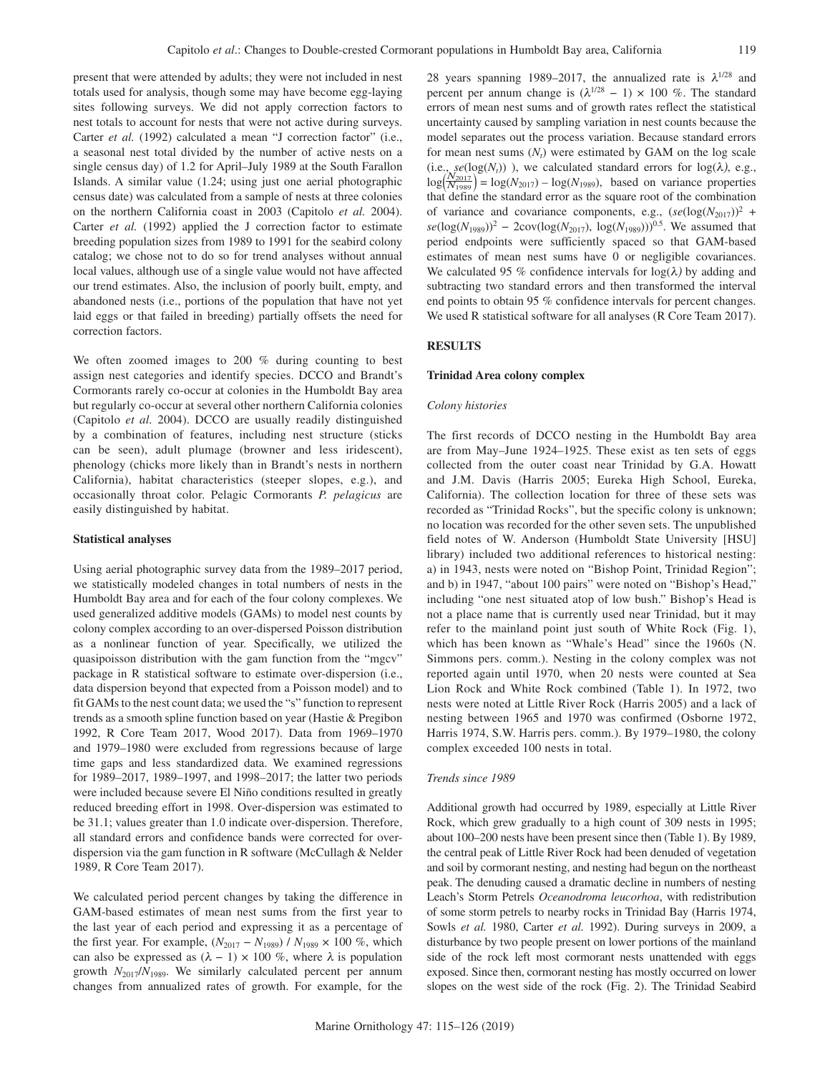present that were attended by adults; they were not included in nest totals used for analysis, though some may have become egg-laying sites following surveys. We did not apply correction factors to nest totals to account for nests that were not active during surveys. Carter *et al.* (1992) calculated a mean "J correction factor" (i.e., a seasonal nest total divided by the number of active nests on a single census day) of 1.2 for April–July 1989 at the South Farallon Islands. A similar value (1.24; using just one aerial photographic census date) was calculated from a sample of nests at three colonies on the northern California coast in 2003 (Capitolo *et al.* 2004). Carter *et al.* (1992) applied the J correction factor to estimate breeding population sizes from 1989 to 1991 for the seabird colony catalog; we chose not to do so for trend analyses without annual local values, although use of a single value would not have affected our trend estimates. Also, the inclusion of poorly built, empty, and abandoned nests (i.e., portions of the population that have not yet laid eggs or that failed in breeding) partially offsets the need for correction factors.

We often zoomed images to 200  $%$  during counting to best assign nest categories and identify species. DCCO and Brandt's Cormorants rarely co-occur at colonies in the Humboldt Bay area but regularly co-occur at several other northern California colonies (Capitolo *et al.* 2004). DCCO are usually readily distinguished by a combination of features, including nest structure (sticks can be seen), adult plumage (browner and less iridescent), phenology (chicks more likely than in Brandt's nests in northern California), habitat characteristics (steeper slopes, e.g.), and occasionally throat color. Pelagic Cormorants *P. pelagicus* are easily distinguished by habitat.

# **Statistical analyses**

Using aerial photographic survey data from the 1989–2017 period, we statistically modeled changes in total numbers of nests in the Humboldt Bay area and for each of the four colony complexes. We used generalized additive models (GAMs) to model nest counts by colony complex according to an over-dispersed Poisson distribution as a nonlinear function of year. Specifically, we utilized the quasipoisson distribution with the gam function from the "mgcv" package in R statistical software to estimate over-dispersion (i.e., data dispersion beyond that expected from a Poisson model) and to fit GAMs to the nest count data; we used the "s" function to represent trends as a smooth spline function based on year (Hastie & Pregibon 1992, R Core Team 2017, Wood 2017). Data from 1969–1970 and 1979–1980 were excluded from regressions because of large time gaps and less standardized data. We examined regressions for 1989–2017, 1989–1997, and 1998–2017; the latter two periods were included because severe El Niño conditions resulted in greatly reduced breeding effort in 1998. Over-dispersion was estimated to be 31.1; values greater than 1.0 indicate over-dispersion. Therefore, all standard errors and confidence bands were corrected for overdispersion via the gam function in R software (McCullagh & Nelder 1989, R Core Team 2017).

We calculated period percent changes by taking the difference in GAM-based estimates of mean nest sums from the first year to the last year of each period and expressing it as a percentage of the first year. For example,  $(N_{2017} - N_{1989}) / N_{1989} \times 100 \%$ , which can also be expressed as  $(\lambda - 1) \times 100$  %, where  $\lambda$  is population growth  $N_{2017}/N_{1989}$ . We similarly calculated percent per annum changes from annualized rates of growth. For example, for the 28 years spanning 1989–2017, the annualized rate is  $\lambda^{1/28}$  and percent per annum change is  $(\lambda^{1/28} - 1) \times 100$  %. The standard errors of mean nest sums and of growth rates reflect the statistical uncertainty caused by sampling variation in nest counts because the model separates out the process variation. Because standard errors for mean nest sums  $(N_t)$  were estimated by GAM on the log scale (i.e.,  $se(log(N<sub>t</sub>))$ ), we calculated standard errors for  $log(\lambda)$ , e.g.,  $\log(\frac{N_{2017}}{N_{1989}}) = \log(N_{2017}) - \log(N_{1989})$ , based on variance properties that define the standard error as the square root of the combination of variance and covariance components, e.g.,  $(se(\log(N_{2017}))^2$  +  $se(log(N_{1989}))^2$  – 2cov(log( $N_{2017}$ ), log( $N_{1989}$ )))<sup>0.5</sup>. We assumed that period endpoints were sufficiently spaced so that GAM-based estimates of mean nest sums have 0 or negligible covariances. We calculated 95 % confidence intervals for  $log(\lambda)$  by adding and subtracting two standard errors and then transformed the interval end points to obtain 95 % confidence intervals for percent changes. We used R statistical software for all analyses (R Core Team 2017).

# **RESULTS**

# **Trinidad Area colony complex**

# *Colony histories*

The first records of DCCO nesting in the Humboldt Bay area are from May–June 1924–1925. These exist as ten sets of eggs collected from the outer coast near Trinidad by G.A. Howatt and J.M. Davis (Harris 2005; Eureka High School, Eureka, California). The collection location for three of these sets was recorded as "Trinidad Rocks", but the specific colony is unknown; no location was recorded for the other seven sets. The unpublished field notes of W. Anderson (Humboldt State University [HSU] library) included two additional references to historical nesting: a) in 1943, nests were noted on "Bishop Point, Trinidad Region"; and b) in 1947, "about 100 pairs" were noted on "Bishop's Head," including "one nest situated atop of low bush." Bishop's Head is not a place name that is currently used near Trinidad, but it may refer to the mainland point just south of White Rock (Fig. 1), which has been known as "Whale's Head" since the 1960s (N. Simmons pers. comm.). Nesting in the colony complex was not reported again until 1970, when 20 nests were counted at Sea Lion Rock and White Rock combined (Table 1). In 1972, two nests were noted at Little River Rock (Harris 2005) and a lack of nesting between 1965 and 1970 was confirmed (Osborne 1972, Harris 1974, S.W. Harris pers. comm.). By 1979–1980, the colony complex exceeded 100 nests in total.

# *Trends since 1989*

Additional growth had occurred by 1989, especially at Little River Rock, which grew gradually to a high count of 309 nests in 1995; about 100–200 nests have been present since then (Table 1). By 1989, the central peak of Little River Rock had been denuded of vegetation and soil by cormorant nesting, and nesting had begun on the northeast peak. The denuding caused a dramatic decline in numbers of nesting Leach's Storm Petrels *Oceanodroma leucorhoa*, with redistribution of some storm petrels to nearby rocks in Trinidad Bay (Harris 1974, Sowls *et al.* 1980, Carter *et al.* 1992). During surveys in 2009, a disturbance by two people present on lower portions of the mainland side of the rock left most cormorant nests unattended with eggs exposed. Since then, cormorant nesting has mostly occurred on lower slopes on the west side of the rock (Fig. 2). The Trinidad Seabird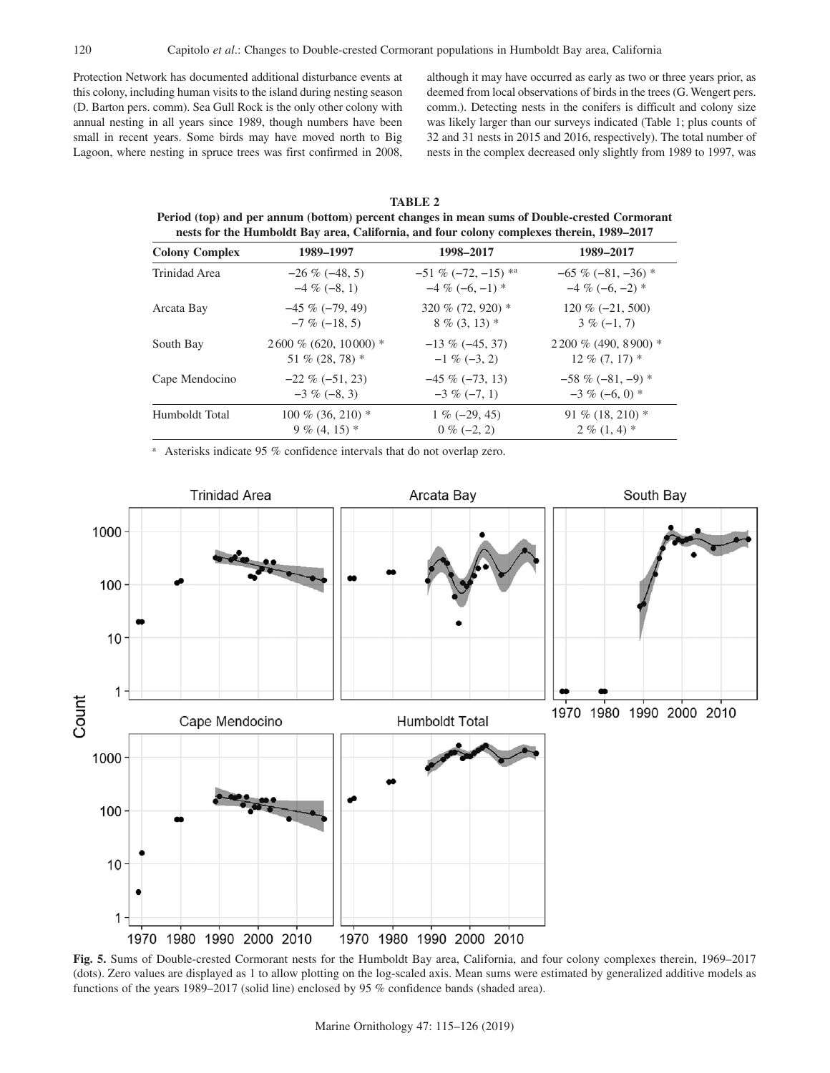Protection Network has documented additional disturbance events at this colony, including human visits to the island during nesting season (D. Barton pers. comm). Sea Gull Rock is the only other colony with annual nesting in all years since 1989, though numbers have been small in recent years. Some birds may have moved north to Big Lagoon, where nesting in spruce trees was first confirmed in 2008, although it may have occurred as early as two or three years prior, as deemed from local observations of birds in the trees (G. Wengert pers. comm.). Detecting nests in the conifers is difficult and colony size was likely larger than our surveys indicated (Table 1; plus counts of 32 and 31 nests in 2015 and 2016, respectively). The total number of nests in the complex decreased only slightly from 1989 to 1997, was

| TABLE 2                                                                                      |
|----------------------------------------------------------------------------------------------|
| Period (top) and per annum (bottom) percent changes in mean sums of Double-crested Cormorant |
| nests for the Humboldt Bay area, California, and four colony complexes therein, 1989–2017    |

| <b>Colony Complex</b> | 1989-1997               | 1998-2017             | 1989-2017              |
|-----------------------|-------------------------|-----------------------|------------------------|
| Trinidad Area         | $-26\%(-48, 5)$         | $-51\% (-72, -15)$ *a | $-65\%(-81, -36)*$     |
|                       | $-4\%(-8, 1)$           | $-4\%(-6,-1)*$        | $-4\%(-6,-2)*$         |
| Arcata Bay            | $-45\%(-79, 49)$        | 320 % $(72, 920)$ *   | $120\%(-21, 500)$      |
|                       | $-7\%(-18, 5)$          | $8\%$ (3, 13) $*$     | $3\%(-1,7)$            |
| South Bay             | $2600\%$ (620, 10000) * | $-13\%(-45, 37)$      | $2200\%$ (490, 8900) * |
|                       | 51 % $(28, 78)$ *       | $-1\%(-3, 2)$         | $12\%$ (7, 17) $*$     |
| Cape Mendocino        | $-22\%(-51, 23)$        | $-45\%(-73, 13)$      | $-58\%(-81,-9)$ *      |
|                       | $-3\%(-8, 3)$           | $-3\%(-7, 1)$         | $-3\%(-6,0)*$          |
| Humboldt Total        | $100\%$ (36, 210) *     | $1\%(-29, 45)$        | 91 % $(18, 210)$ *     |
|                       | $9\%$ (4, 15) *         | $0\%(-2, 2)$          | $2\%$ (1, 4) $*$       |

<sup>a</sup> Asterisks indicate 95 % confidence intervals that do not overlap zero.



**Fig. 5.** Sums of Double-crested Cormorant nests for the Humboldt Bay area, California, and four colony complexes therein, 1969–2017 (dots). Zero values are displayed as 1 to allow plotting on the log-scaled axis. Mean sums were estimated by generalized additive models as functions of the years 1989–2017 (solid line) enclosed by 95 % confidence bands (shaded area).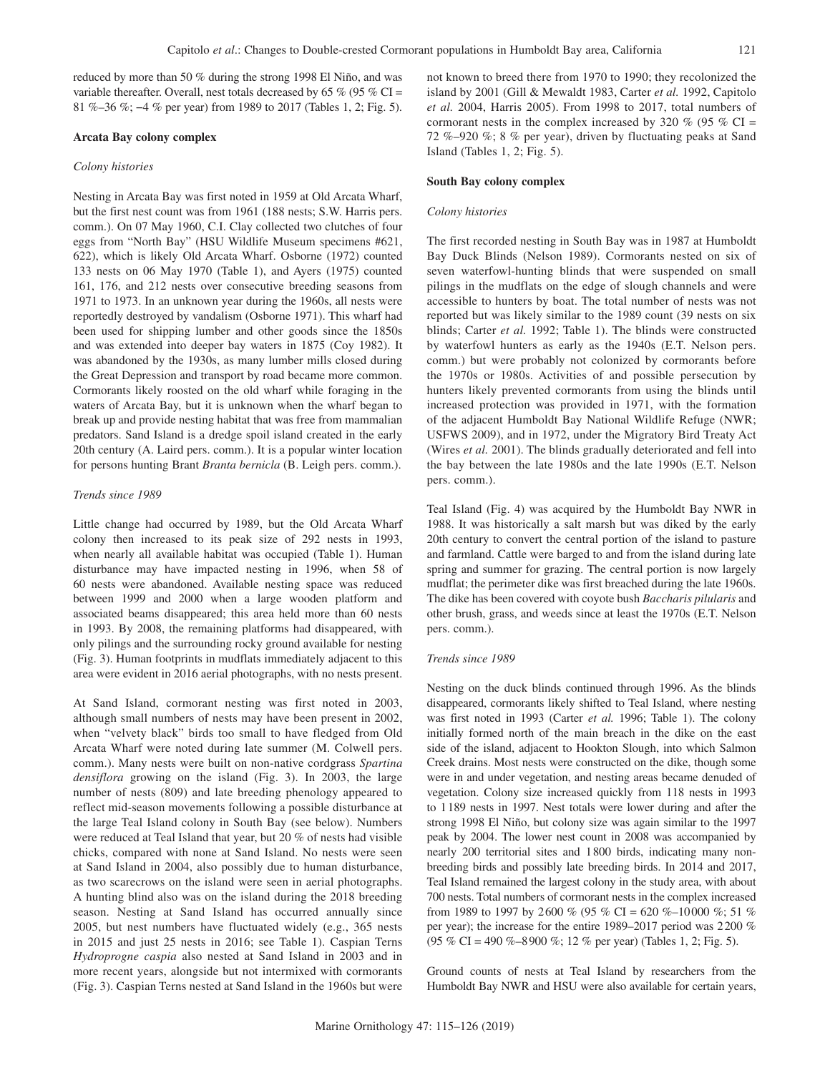reduced by more than 50 % during the strong 1998 El Niño, and was variable thereafter. Overall, nest totals decreased by 65  $\%$  (95  $\%$  CI = 81 %–36 %; −4 % per year) from 1989 to 2017 (Tables 1, 2; Fig. 5).

#### **Arcata Bay colony complex**

#### *Colony histories*

Nesting in Arcata Bay was first noted in 1959 at Old Arcata Wharf, but the first nest count was from 1961 (188 nests; S.W. Harris pers. comm.). On 07 May 1960, C.I. Clay collected two clutches of four eggs from "North Bay" (HSU Wildlife Museum specimens #621, 622), which is likely Old Arcata Wharf. Osborne (1972) counted 133 nests on 06 May 1970 (Table 1), and Ayers (1975) counted 161, 176, and 212 nests over consecutive breeding seasons from 1971 to 1973. In an unknown year during the 1960s, all nests were reportedly destroyed by vandalism (Osborne 1971). This wharf had been used for shipping lumber and other goods since the 1850s and was extended into deeper bay waters in 1875 (Coy 1982). It was abandoned by the 1930s, as many lumber mills closed during the Great Depression and transport by road became more common. Cormorants likely roosted on the old wharf while foraging in the waters of Arcata Bay, but it is unknown when the wharf began to break up and provide nesting habitat that was free from mammalian predators. Sand Island is a dredge spoil island created in the early 20th century (A. Laird pers. comm.). It is a popular winter location for persons hunting Brant *Branta bernicla* (B. Leigh pers. comm.).

# *Trends since 1989*

Little change had occurred by 1989, but the Old Arcata Wharf colony then increased to its peak size of 292 nests in 1993, when nearly all available habitat was occupied (Table 1). Human disturbance may have impacted nesting in 1996, when 58 of 60 nests were abandoned. Available nesting space was reduced between 1999 and 2000 when a large wooden platform and associated beams disappeared; this area held more than 60 nests in 1993. By 2008, the remaining platforms had disappeared, with only pilings and the surrounding rocky ground available for nesting (Fig. 3). Human footprints in mudflats immediately adjacent to this area were evident in 2016 aerial photographs, with no nests present.

At Sand Island, cormorant nesting was first noted in 2003, although small numbers of nests may have been present in 2002, when "velvety black" birds too small to have fledged from Old Arcata Wharf were noted during late summer (M. Colwell pers. comm.). Many nests were built on non-native cordgrass *Spartina densiflora* growing on the island (Fig. 3). In 2003, the large number of nests (809) and late breeding phenology appeared to reflect mid-season movements following a possible disturbance at the large Teal Island colony in South Bay (see below). Numbers were reduced at Teal Island that year, but 20 % of nests had visible chicks, compared with none at Sand Island. No nests were seen at Sand Island in 2004, also possibly due to human disturbance, as two scarecrows on the island were seen in aerial photographs. A hunting blind also was on the island during the 2018 breeding season. Nesting at Sand Island has occurred annually since 2005, but nest numbers have fluctuated widely (e.g., 365 nests in 2015 and just 25 nests in 2016; see Table 1). Caspian Terns *Hydroprogne caspia* also nested at Sand Island in 2003 and in more recent years, alongside but not intermixed with cormorants (Fig. 3). Caspian Terns nested at Sand Island in the 1960s but were not known to breed there from 1970 to 1990; they recolonized the island by 2001 (Gill & Mewaldt 1983, Carter *et al.* 1992, Capitolo *et al.* 2004, Harris 2005). From 1998 to 2017, total numbers of cormorant nests in the complex increased by 320 % (95 % CI = 72 %–920 %; 8 % per year), driven by fluctuating peaks at Sand Island (Tables 1, 2; Fig. 5).

## **South Bay colony complex**

# *Colony histories*

The first recorded nesting in South Bay was in 1987 at Humboldt Bay Duck Blinds (Nelson 1989). Cormorants nested on six of seven waterfowl-hunting blinds that were suspended on small pilings in the mudflats on the edge of slough channels and were accessible to hunters by boat. The total number of nests was not reported but was likely similar to the 1989 count (39 nests on six blinds; Carter *et al.* 1992; Table 1). The blinds were constructed by waterfowl hunters as early as the 1940s (E.T. Nelson pers. comm.) but were probably not colonized by cormorants before the 1970s or 1980s. Activities of and possible persecution by hunters likely prevented cormorants from using the blinds until increased protection was provided in 1971, with the formation of the adjacent Humboldt Bay National Wildlife Refuge (NWR; USFWS 2009), and in 1972, under the Migratory Bird Treaty Act (Wires *et al.* 2001). The blinds gradually deteriorated and fell into the bay between the late 1980s and the late 1990s (E.T. Nelson pers. comm.).

Teal Island (Fig. 4) was acquired by the Humboldt Bay NWR in 1988. It was historically a salt marsh but was diked by the early 20th century to convert the central portion of the island to pasture and farmland. Cattle were barged to and from the island during late spring and summer for grazing. The central portion is now largely mudflat; the perimeter dike was first breached during the late 1960s. The dike has been covered with coyote bush *Baccharis pilularis* and other brush, grass, and weeds since at least the 1970s (E.T. Nelson pers. comm.).

## *Trends since 1989*

Nesting on the duck blinds continued through 1996. As the blinds disappeared, cormorants likely shifted to Teal Island, where nesting was first noted in 1993 (Carter *et al.* 1996; Table 1). The colony initially formed north of the main breach in the dike on the east side of the island, adjacent to Hookton Slough, into which Salmon Creek drains. Most nests were constructed on the dike, though some were in and under vegetation, and nesting areas became denuded of vegetation. Colony size increased quickly from 118 nests in 1993 to 1189 nests in 1997. Nest totals were lower during and after the strong 1998 El Niño, but colony size was again similar to the 1997 peak by 2004. The lower nest count in 2008 was accompanied by nearly 200 territorial sites and 1800 birds, indicating many nonbreeding birds and possibly late breeding birds. In 2014 and 2017, Teal Island remained the largest colony in the study area, with about 700 nests. Total numbers of cormorant nests in the complex increased from 1989 to 1997 by 2600 % (95 % CI = 620 %–10000 %; 51 % per year); the increase for the entire 1989–2017 period was 2200 % (95 % CI = 490 %–8900 %; 12 % per year) (Tables 1, 2; Fig. 5).

Ground counts of nests at Teal Island by researchers from the Humboldt Bay NWR and HSU were also available for certain years,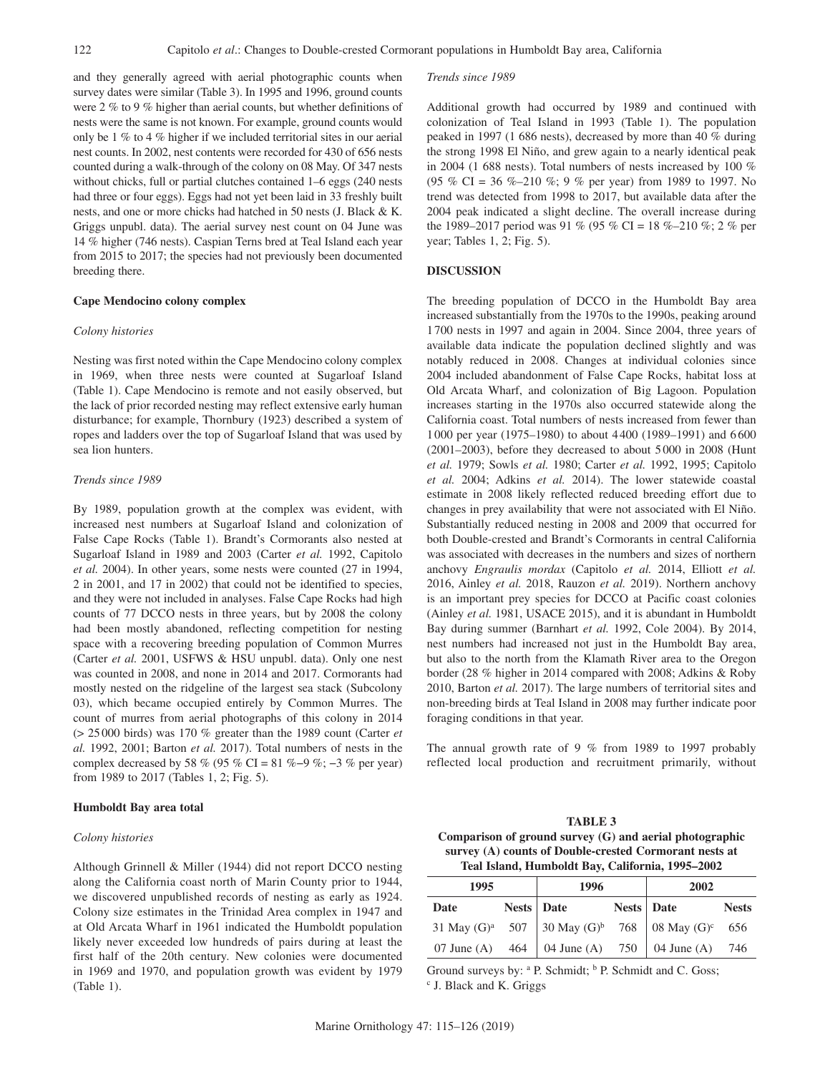and they generally agreed with aerial photographic counts when survey dates were similar (Table 3). In 1995 and 1996, ground counts were 2 % to 9 % higher than aerial counts, but whether definitions of nests were the same is not known. For example, ground counts would only be 1 % to 4 % higher if we included territorial sites in our aerial nest counts. In 2002, nest contents were recorded for 430 of 656 nests counted during a walk-through of the colony on 08 May. Of 347 nests without chicks, full or partial clutches contained 1–6 eggs (240 nests had three or four eggs). Eggs had not yet been laid in 33 freshly built nests, and one or more chicks had hatched in 50 nests (J. Black & K. Griggs unpubl. data). The aerial survey nest count on 04 June was 14 % higher (746 nests). Caspian Terns bred at Teal Island each year from 2015 to 2017; the species had not previously been documented breeding there.

## **Cape Mendocino colony complex**

# *Colony histories*

Nesting was first noted within the Cape Mendocino colony complex in 1969, when three nests were counted at Sugarloaf Island (Table 1). Cape Mendocino is remote and not easily observed, but the lack of prior recorded nesting may reflect extensive early human disturbance; for example, Thornbury (1923) described a system of ropes and ladders over the top of Sugarloaf Island that was used by sea lion hunters.

## *Trends since 1989*

By 1989, population growth at the complex was evident, with increased nest numbers at Sugarloaf Island and colonization of False Cape Rocks (Table 1). Brandt's Cormorants also nested at Sugarloaf Island in 1989 and 2003 (Carter *et al.* 1992, Capitolo *et al.* 2004). In other years, some nests were counted (27 in 1994, 2 in 2001, and 17 in 2002) that could not be identified to species, and they were not included in analyses. False Cape Rocks had high counts of 77 DCCO nests in three years, but by 2008 the colony had been mostly abandoned, reflecting competition for nesting space with a recovering breeding population of Common Murres (Carter *et al.* 2001, USFWS & HSU unpubl. data). Only one nest was counted in 2008, and none in 2014 and 2017. Cormorants had mostly nested on the ridgeline of the largest sea stack (Subcolony 03), which became occupied entirely by Common Murres. The count of murres from aerial photographs of this colony in 2014 (> 25000 birds) was 170 % greater than the 1989 count (Carter *et al.* 1992, 2001; Barton *et al.* 2017). Total numbers of nests in the complex decreased by 58 % (95 % CI = 81 %–9 %; −3 % per year) from 1989 to 2017 (Tables 1, 2; Fig. 5).

# **Humboldt Bay area total**

# *Colony histories*

Although Grinnell & Miller (1944) did not report DCCO nesting along the California coast north of Marin County prior to 1944, we discovered unpublished records of nesting as early as 1924. Colony size estimates in the Trinidad Area complex in 1947 and at Old Arcata Wharf in 1961 indicated the Humboldt population likely never exceeded low hundreds of pairs during at least the first half of the 20th century. New colonies were documented in 1969 and 1970, and population growth was evident by 1979 (Table 1).

#### *Trends since 1989*

Additional growth had occurred by 1989 and continued with colonization of Teal Island in 1993 (Table 1). The population peaked in 1997 (1 686 nests), decreased by more than 40 % during the strong 1998 El Niño, and grew again to a nearly identical peak in 2004 (1 688 nests). Total numbers of nests increased by 100 % (95 % CI = 36 %–210 %; 9 % per year) from 1989 to 1997. No trend was detected from 1998 to 2017, but available data after the 2004 peak indicated a slight decline. The overall increase during the 1989–2017 period was 91 % (95 % CI = 18 %–210 %; 2 % per year; Tables 1, 2; Fig. 5).

## **DISCUSSION**

The breeding population of DCCO in the Humboldt Bay area increased substantially from the 1970s to the 1990s, peaking around 1700 nests in 1997 and again in 2004. Since 2004, three years of available data indicate the population declined slightly and was notably reduced in 2008. Changes at individual colonies since 2004 included abandonment of False Cape Rocks, habitat loss at Old Arcata Wharf, and colonization of Big Lagoon. Population increases starting in the 1970s also occurred statewide along the California coast. Total numbers of nests increased from fewer than 1000 per year (1975–1980) to about 4400 (1989–1991) and 6600 (2001–2003), before they decreased to about 5 000 in 2008 (Hunt *et al.* 1979; Sowls *et al.* 1980; Carter *et al.* 1992, 1995; Capitolo *et al.* 2004; Adkins *et al.* 2014). The lower statewide coastal estimate in 2008 likely reflected reduced breeding effort due to changes in prey availability that were not associated with El Niño. Substantially reduced nesting in 2008 and 2009 that occurred for both Double-crested and Brandt's Cormorants in central California was associated with decreases in the numbers and sizes of northern anchovy *Engraulis mordax* (Capitolo *et al.* 2014, Elliott *et al.* 2016, Ainley *et al.* 2018, Rauzon *et al.* 2019). Northern anchovy is an important prey species for DCCO at Pacific coast colonies (Ainley *et al.* 1981, USACE 2015), and it is abundant in Humboldt Bay during summer (Barnhart *et al.* 1992, Cole 2004). By 2014, nest numbers had increased not just in the Humboldt Bay area, but also to the north from the Klamath River area to the Oregon border (28 % higher in 2014 compared with 2008; Adkins & Roby 2010, Barton *et al.* 2017). The large numbers of territorial sites and non-breeding birds at Teal Island in 2008 may further indicate poor foraging conditions in that year.

The annual growth rate of 9  $\%$  from 1989 to 1997 probably reflected local production and recruitment primarily, without

| <b>TABLE 3</b>                                            |
|-----------------------------------------------------------|
| Comparison of ground survey $(G)$ and aerial photographic |
| survey (A) counts of Double-crested Cormorant nests at    |
| Teal Island, Humboldt Bay, California, 1995-2002          |

| 1995 | 1996                                                     |              | 2002 |              |  |
|------|----------------------------------------------------------|--------------|------|--------------|--|
| Date | Nests   Date                                             | Nests   Date |      | <b>Nests</b> |  |
|      | 31 May $(G)^a$ 507 30 May $(G)^b$ 768 08 May $(G)^c$ 656 |              |      |              |  |
|      | 07 June (A) $464 \mid 04$ June (A) 750   04 June (A) 746 |              |      |              |  |

Ground surveys by: <sup>a</sup> P. Schmidt; <sup>b</sup> P. Schmidt and C. Goss;<br><sup>c</sup> L Black and K. Griggs J. Black and K. Griggs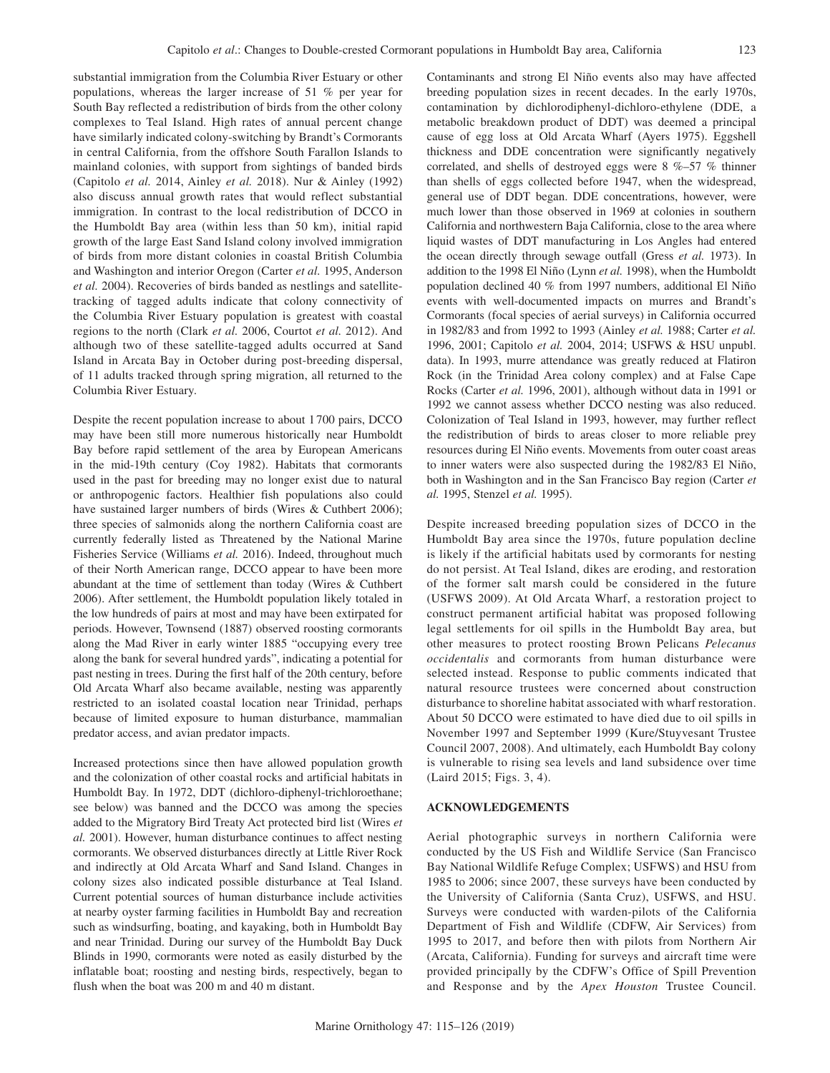substantial immigration from the Columbia River Estuary or other populations, whereas the larger increase of 51 % per year for South Bay reflected a redistribution of birds from the other colony complexes to Teal Island. High rates of annual percent change have similarly indicated colony-switching by Brandt's Cormorants in central California, from the offshore South Farallon Islands to mainland colonies, with support from sightings of banded birds (Capitolo *et al.* 2014, Ainley *et al.* 2018). Nur & Ainley (1992) also discuss annual growth rates that would reflect substantial immigration. In contrast to the local redistribution of DCCO in the Humboldt Bay area (within less than 50 km), initial rapid growth of the large East Sand Island colony involved immigration of birds from more distant colonies in coastal British Columbia and Washington and interior Oregon (Carter *et al.* 1995, Anderson *et al.* 2004). Recoveries of birds banded as nestlings and satellitetracking of tagged adults indicate that colony connectivity of the Columbia River Estuary population is greatest with coastal regions to the north (Clark *et al.* 2006, Courtot *et al.* 2012). And although two of these satellite-tagged adults occurred at Sand Island in Arcata Bay in October during post-breeding dispersal, of 11 adults tracked through spring migration, all returned to the Columbia River Estuary.

Despite the recent population increase to about 1 700 pairs, DCCO may have been still more numerous historically near Humboldt Bay before rapid settlement of the area by European Americans in the mid-19th century (Coy 1982). Habitats that cormorants used in the past for breeding may no longer exist due to natural or anthropogenic factors. Healthier fish populations also could have sustained larger numbers of birds (Wires & Cuthbert 2006); three species of salmonids along the northern California coast are currently federally listed as Threatened by the National Marine Fisheries Service (Williams *et al.* 2016). Indeed, throughout much of their North American range, DCCO appear to have been more abundant at the time of settlement than today (Wires & Cuthbert 2006). After settlement, the Humboldt population likely totaled in the low hundreds of pairs at most and may have been extirpated for periods. However, Townsend (1887) observed roosting cormorants along the Mad River in early winter 1885 "occupying every tree along the bank for several hundred yards", indicating a potential for past nesting in trees. During the first half of the 20th century, before Old Arcata Wharf also became available, nesting was apparently restricted to an isolated coastal location near Trinidad, perhaps because of limited exposure to human disturbance, mammalian predator access, and avian predator impacts.

Increased protections since then have allowed population growth and the colonization of other coastal rocks and artificial habitats in Humboldt Bay. In 1972, DDT (dichloro-diphenyl-trichloroethane; see below) was banned and the DCCO was among the species added to the Migratory Bird Treaty Act protected bird list (Wires *et al.* 2001). However, human disturbance continues to affect nesting cormorants. We observed disturbances directly at Little River Rock and indirectly at Old Arcata Wharf and Sand Island. Changes in colony sizes also indicated possible disturbance at Teal Island. Current potential sources of human disturbance include activities at nearby oyster farming facilities in Humboldt Bay and recreation such as windsurfing, boating, and kayaking, both in Humboldt Bay and near Trinidad. During our survey of the Humboldt Bay Duck Blinds in 1990, cormorants were noted as easily disturbed by the inflatable boat; roosting and nesting birds, respectively, began to flush when the boat was 200 m and 40 m distant.

Contaminants and strong El Niño events also may have affected breeding population sizes in recent decades. In the early 1970s, contamination by dichlorodiphenyl-dichloro-ethylene (DDE, a metabolic breakdown product of DDT) was deemed a principal cause of egg loss at Old Arcata Wharf (Ayers 1975). Eggshell thickness and DDE concentration were significantly negatively correlated, and shells of destroyed eggs were  $8\%$ –57 % thinner than shells of eggs collected before 1947, when the widespread, general use of DDT began. DDE concentrations, however, were much lower than those observed in 1969 at colonies in southern California and northwestern Baja California, close to the area where liquid wastes of DDT manufacturing in Los Angles had entered the ocean directly through sewage outfall (Gress *et al.* 1973). In addition to the 1998 El Niño (Lynn *et al.* 1998), when the Humboldt population declined 40 % from 1997 numbers, additional El Niño events with well-documented impacts on murres and Brandt's Cormorants (focal species of aerial surveys) in California occurred in 1982/83 and from 1992 to 1993 (Ainley *et al.* 1988; Carter *et al.* 1996, 2001; Capitolo *et al.* 2004, 2014; USFWS & HSU unpubl. data). In 1993, murre attendance was greatly reduced at Flatiron Rock (in the Trinidad Area colony complex) and at False Cape Rocks (Carter *et al.* 1996, 2001), although without data in 1991 or 1992 we cannot assess whether DCCO nesting was also reduced. Colonization of Teal Island in 1993, however, may further reflect the redistribution of birds to areas closer to more reliable prey resources during El Niño events. Movements from outer coast areas to inner waters were also suspected during the 1982/83 El Niño, both in Washington and in the San Francisco Bay region (Carter *et al.* 1995, Stenzel *et al.* 1995).

Despite increased breeding population sizes of DCCO in the Humboldt Bay area since the 1970s, future population decline is likely if the artificial habitats used by cormorants for nesting do not persist. At Teal Island, dikes are eroding, and restoration of the former salt marsh could be considered in the future (USFWS 2009). At Old Arcata Wharf, a restoration project to construct permanent artificial habitat was proposed following legal settlements for oil spills in the Humboldt Bay area, but other measures to protect roosting Brown Pelicans *Pelecanus occidentalis* and cormorants from human disturbance were selected instead. Response to public comments indicated that natural resource trustees were concerned about construction disturbance to shoreline habitat associated with wharf restoration. About 50 DCCO were estimated to have died due to oil spills in November 1997 and September 1999 (Kure/Stuyvesant Trustee Council 2007, 2008). And ultimately, each Humboldt Bay colony is vulnerable to rising sea levels and land subsidence over time (Laird 2015; Figs. 3, 4).

# **ACKNOWLEDGEMENTS**

Aerial photographic surveys in northern California were conducted by the US Fish and Wildlife Service (San Francisco Bay National Wildlife Refuge Complex; USFWS) and HSU from 1985 to 2006; since 2007, these surveys have been conducted by the University of California (Santa Cruz), USFWS, and HSU. Surveys were conducted with warden-pilots of the California Department of Fish and Wildlife (CDFW, Air Services) from 1995 to 2017, and before then with pilots from Northern Air (Arcata, California). Funding for surveys and aircraft time were provided principally by the CDFW's Office of Spill Prevention and Response and by the *Apex Houston* Trustee Council.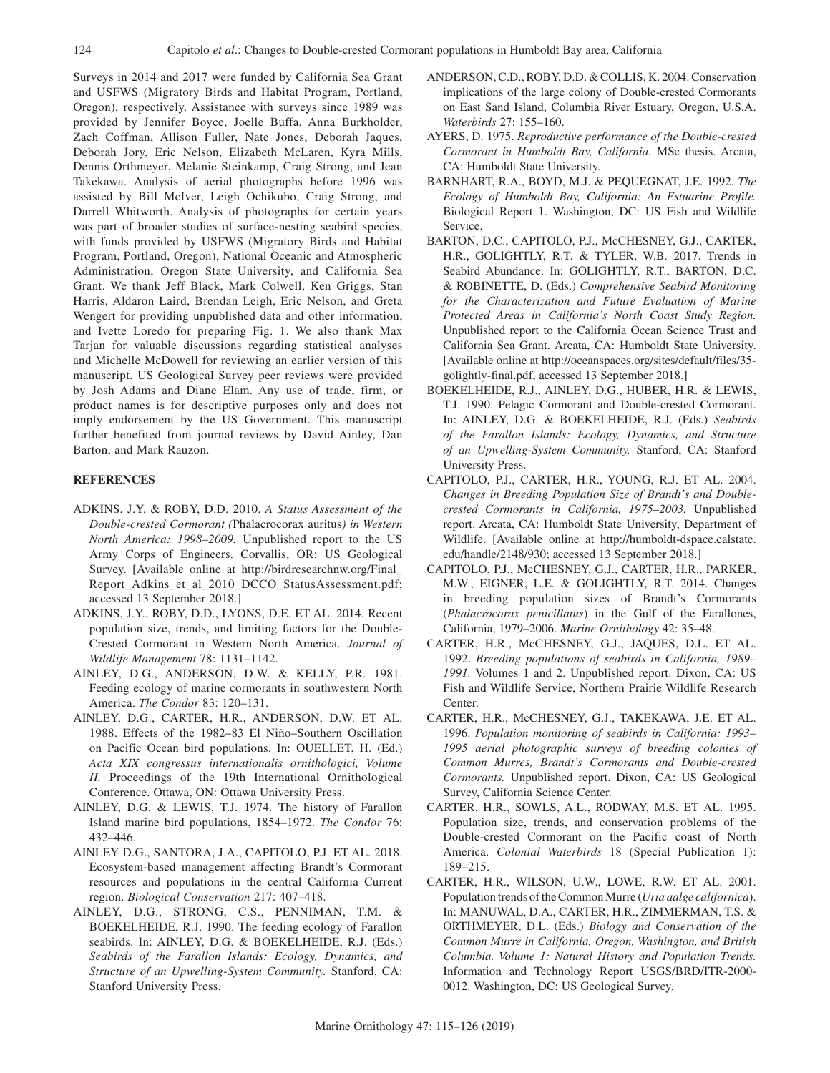Surveys in 2014 and 2017 were funded by California Sea Grant and USFWS (Migratory Birds and Habitat Program, Portland, Oregon), respectively. Assistance with surveys since 1989 was provided by Jennifer Boyce, Joelle Buffa, Anna Burkholder, Zach Coffman, Allison Fuller, Nate Jones, Deborah Jaques, Deborah Jory, Eric Nelson, Elizabeth McLaren, Kyra Mills, Dennis Orthmeyer, Melanie Steinkamp, Craig Strong, and Jean Takekawa. Analysis of aerial photographs before 1996 was assisted by Bill McIver, Leigh Ochikubo, Craig Strong, and Darrell Whitworth. Analysis of photographs for certain years was part of broader studies of surface-nesting seabird species, with funds provided by USFWS (Migratory Birds and Habitat Program, Portland, Oregon), National Oceanic and Atmospheric Administration, Oregon State University, and California Sea Grant. We thank Jeff Black, Mark Colwell, Ken Griggs, Stan Harris, Aldaron Laird, Brendan Leigh, Eric Nelson, and Greta Wengert for providing unpublished data and other information, and Ivette Loredo for preparing Fig. 1. We also thank Max Tarjan for valuable discussions regarding statistical analyses and Michelle McDowell for reviewing an earlier version of this manuscript. US Geological Survey peer reviews were provided by Josh Adams and Diane Elam. Any use of trade, firm, or product names is for descriptive purposes only and does not imply endorsement by the US Government. This manuscript further benefited from journal reviews by David Ainley, Dan Barton, and Mark Rauzon.

# **REFERENCES**

- ADKINS, J.Y. & ROBY, D.D. 2010. *A Status Assessment of the Double-crested Cormorant (*Phalacrocorax auritus*) in Western North America: 1998–2009.* Unpublished report to the US Army Corps of Engineers. Corvallis, OR: US Geological Survey. [Available online at http://birdresearchnw.org/Final\_ Report\_Adkins\_et\_al\_2010\_DCCO\_StatusAssessment.pdf; accessed 13 September 2018.]
- ADKINS, J.Y., ROBY, D.D., LYONS, D.E. ET AL. 2014. Recent population size, trends, and limiting factors for the Double-Crested Cormorant in Western North America. *Journal of Wildlife Management* 78: 1131–1142.
- AINLEY, D.G., ANDERSON, D.W. & KELLY, P.R. 1981. Feeding ecology of marine cormorants in southwestern North America. *The Condor* 83: 120–131.
- AINLEY, D.G., CARTER, H.R., ANDERSON, D.W. ET AL. 1988. Effects of the 1982–83 El Niño–Southern Oscillation on Pacific Ocean bird populations. In: OUELLET, H. (Ed.) *Acta XIX congressus internationalis ornithologici, Volume II.* Proceedings of the 19th International Ornithological Conference. Ottawa, ON: Ottawa University Press.
- AINLEY, D.G. & LEWIS, T.J. 1974. The history of Farallon Island marine bird populations, 1854–1972. *The Condor* 76: 432–446.
- AINLEY D.G., SANTORA, J.A., CAPITOLO, P.J. ET AL. 2018. Ecosystem-based management affecting Brandt's Cormorant resources and populations in the central California Current region. *Biological Conservation* 217: 407–418.
- AINLEY, D.G., STRONG, C.S., PENNIMAN, T.M. & BOEKELHEIDE, R.J. 1990. The feeding ecology of Farallon seabirds. In: AINLEY, D.G. & BOEKELHEIDE, R.J. (Eds.) *Seabirds of the Farallon Islands: Ecology, Dynamics, and Structure of an Upwelling-System Community.* Stanford, CA: Stanford University Press.
- ANDERSON, C.D., ROBY, D.D. & COLLIS, K. 2004. Conservation implications of the large colony of Double-crested Cormorants on East Sand Island, Columbia River Estuary, Oregon, U.S.A. *Waterbirds* 27: 155–160.
- AYERS, D. 1975. *Reproductive performance of the Double-crested Cormorant in Humboldt Bay, California.* MSc thesis. Arcata, CA: Humboldt State University.
- BARNHART, R.A., BOYD, M.J. & PEQUEGNAT, J.E. 1992. *The Ecology of Humboldt Bay, California: An Estuarine Profile.* Biological Report 1. Washington, DC: US Fish and Wildlife Service.
- BARTON, D.C., CAPITOLO, P.J., McCHESNEY, G.J., CARTER, H.R., GOLIGHTLY, R.T. & TYLER, W.B. 2017. Trends in Seabird Abundance. In: GOLIGHTLY, R.T., BARTON, D.C. & ROBINETTE, D. (Eds.) *Comprehensive Seabird Monitoring for the Characterization and Future Evaluation of Marine Protected Areas in California's North Coast Study Region.* Unpublished report to the California Ocean Science Trust and California Sea Grant. Arcata, CA: Humboldt State University. [Available online at http://oceanspaces.org/sites/default/files/35 golightly-final.pdf, accessed 13 September 2018.]
- BOEKELHEIDE, R.J., AINLEY, D.G., HUBER, H.R. & LEWIS, T.J. 1990. Pelagic Cormorant and Double-crested Cormorant. In: AINLEY, D.G. & BOEKELHEIDE, R.J. (Eds.) *Seabirds of the Farallon Islands: Ecology, Dynamics, and Structure of an Upwelling-System Community.* Stanford, CA: Stanford University Press.
- CAPITOLO, P.J., CARTER, H.R., YOUNG, R.J. ET AL. 2004. *Changes in Breeding Population Size of Brandt's and Doublecrested Cormorants in California, 1975–2003.* Unpublished report. Arcata, CA: Humboldt State University, Department of Wildlife. [Available online at http://humboldt-dspace.calstate. edu/handle/2148/930; accessed 13 September 2018.]
- CAPITOLO, P.J., McCHESNEY, G.J., CARTER, H.R., PARKER, M.W., EIGNER, L.E. & GOLIGHTLY, R.T. 2014. Changes in breeding population sizes of Brandt's Cormorants (*Phalacrocorax penicillatus*) in the Gulf of the Farallones, California, 1979–2006. *Marine Ornithology* 42: 35–48.
- CARTER, H.R., McCHESNEY, G.J., JAQUES, D.L. ET AL. 1992. *Breeding populations of seabirds in California, 1989– 1991.* Volumes 1 and 2. Unpublished report. Dixon, CA: US Fish and Wildlife Service, Northern Prairie Wildlife Research Center.
- CARTER, H.R., McCHESNEY, G.J., TAKEKAWA, J.E. ET AL. 1996. *Population monitoring of seabirds in California: 1993– 1995 aerial photographic surveys of breeding colonies of Common Murres, Brandt's Cormorants and Double-crested Cormorants.* Unpublished report. Dixon, CA: US Geological Survey, California Science Center.
- CARTER, H.R., SOWLS, A.L., RODWAY, M.S. ET AL. 1995. Population size, trends, and conservation problems of the Double-crested Cormorant on the Pacific coast of North America. *Colonial Waterbirds* 18 (Special Publication 1): 189–215.
- CARTER, H.R., WILSON, U.W., LOWE, R.W. ET AL. 2001. Population trends of the Common Murre (*Uria aalge californica*). In: MANUWAL, D.A., CARTER, H.R., ZIMMERMAN, T.S. & ORTHMEYER, D.L. (Eds.) *Biology and Conservation of the Common Murre in California, Oregon, Washington, and British Columbia. Volume 1: Natural History and Population Trends.* Information and Technology Report USGS/BRD/ITR-2000- 0012. Washington, DC: US Geological Survey.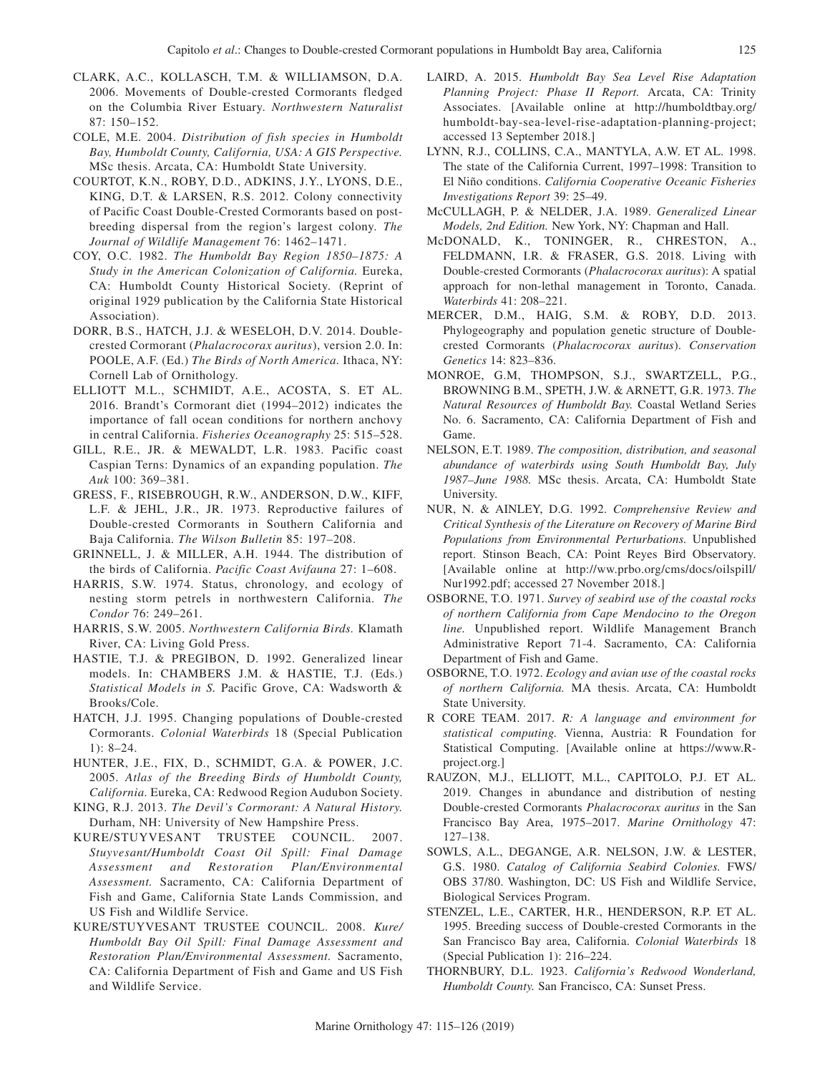- CLARK, A.C., KOLLASCH, T.M. & WILLIAMSON, D.A. 2006. Movements of Double-crested Cormorants fledged on the Columbia River Estuary. *Northwestern Naturalist* 87: 150–152.
- COLE, M.E. 2004. *Distribution of fish species in Humboldt Bay, Humboldt County, California, USA: A GIS Perspective.* MSc thesis. Arcata, CA: Humboldt State University.
- COURTOT, K.N., ROBY, D.D., ADKINS, J.Y., LYONS, D.E., KING, D.T. & LARSEN, R.S. 2012. Colony connectivity of Pacific Coast Double-Crested Cormorants based on postbreeding dispersal from the region's largest colony. *The Journal of Wildlife Management* 76: 1462–1471.
- COY, O.C. 1982. *The Humboldt Bay Region 1850–1875: A Study in the American Colonization of California.* Eureka, CA: Humboldt County Historical Society. (Reprint of original 1929 publication by the California State Historical Association).
- DORR, B.S., HATCH, J.J. & WESELOH, D.V. 2014. Doublecrested Cormorant (*Phalacrocorax auritus*), version 2.0. In: POOLE, A.F. (Ed.) *The Birds of North America.* Ithaca, NY: Cornell Lab of Ornithology.
- ELLIOTT M.L., SCHMIDT, A.E., ACOSTA, S. ET AL. 2016. Brandt's Cormorant diet (1994–2012) indicates the importance of fall ocean conditions for northern anchovy in central California. *Fisheries Oceanography* 25: 515–528.
- GILL, R.E., JR. & MEWALDT, L.R. 1983. Pacific coast Caspian Terns: Dynamics of an expanding population. *The Auk* 100: 369–381.
- GRESS, F., RISEBROUGH, R.W., ANDERSON, D.W., KIFF, L.F. & JEHL, J.R., JR. 1973. Reproductive failures of Double-crested Cormorants in Southern California and Baja California. *The Wilson Bulletin* 85: 197–208.
- GRINNELL, J. & MILLER, A.H. 1944. The distribution of the birds of California. *Pacific Coast Avifauna* 27: 1–608.
- HARRIS, S.W. 1974. Status, chronology, and ecology of nesting storm petrels in northwestern California. *The Condor* 76: 249–261.
- HARRIS, S.W. 2005. *Northwestern California Birds.* Klamath River, CA: Living Gold Press.
- HASTIE, T.J. & PREGIBON, D. 1992. Generalized linear models. In: CHAMBERS J.M. & HASTIE, T.J. (Eds.) *Statistical Models in S.* Pacific Grove, CA: Wadsworth & Brooks/Cole.
- HATCH, J.J. 1995. Changing populations of Double-crested Cormorants. *Colonial Waterbirds* 18 (Special Publication 1): 8–24.
- HUNTER, J.E., FIX, D., SCHMIDT, G.A. & POWER, J.C. 2005. *Atlas of the Breeding Birds of Humboldt County, California.* Eureka, CA: Redwood Region Audubon Society.
- KING, R.J. 2013. *The Devil's Cormorant: A Natural History.* Durham, NH: University of New Hampshire Press.
- KURE/STUYVESANT TRUSTEE COUNCIL. 2007. *Stuyvesant/Humboldt Coast Oil Spill: Final Damage Assessment and Restoration Plan/Environmental Assessment.* Sacramento, CA: California Department of Fish and Game, California State Lands Commission, and US Fish and Wildlife Service.
- KURE/STUYVESANT TRUSTEE COUNCIL. 2008. *Kure/ Humboldt Bay Oil Spill: Final Damage Assessment and Restoration Plan/Environmental Assessment.* Sacramento, CA: California Department of Fish and Game and US Fish and Wildlife Service.
- LAIRD, A. 2015. *Humboldt Bay Sea Level Rise Adaptation Planning Project: Phase II Report.* Arcata, CA: Trinity Associates. [Available online at http://humboldtbay.org/ humboldt-bay-sea-level-rise-adaptation-planning-project; accessed 13 September 2018.]
- LYNN, R.J., COLLINS, C.A., MANTYLA, A.W. ET AL. 1998. The state of the California Current, 1997–1998: Transition to El Niño conditions. *California Cooperative Oceanic Fisheries Investigations Report* 39: 25–49.
- McCULLAGH, P. & NELDER, J.A. 1989. *Generalized Linear Models, 2nd Edition.* New York, NY: Chapman and Hall.
- McDONALD, K., TONINGER, R., CHRESTON, A., FELDMANN, I.R. & FRASER, G.S. 2018. Living with Double-crested Cormorants (*Phalacrocorax auritus*): A spatial approach for non-lethal management in Toronto, Canada. *Waterbirds* 41: 208–221.
- MERCER, D.M., HAIG, S.M. & ROBY, D.D. 2013. Phylogeography and population genetic structure of Doublecrested Cormorants (*Phalacrocorax auritus*). *Conservation Genetics* 14: 823–836.
- MONROE, G.M, THOMPSON, S.J., SWARTZELL, P.G., BROWNING B.M., SPETH, J.W. & ARNETT, G.R. 1973. *The Natural Resources of Humboldt Bay.* Coastal Wetland Series No. 6. Sacramento, CA: California Department of Fish and Game.
- NELSON, E.T. 1989. *The composition, distribution, and seasonal abundance of waterbirds using South Humboldt Bay, July 1987–June 1988.* MSc thesis. Arcata, CA: Humboldt State University.
- NUR, N. & AINLEY, D.G. 1992. *Comprehensive Review and Critical Synthesis of the Literature on Recovery of Marine Bird Populations from Environmental Perturbations.* Unpublished report. Stinson Beach, CA: Point Reyes Bird Observatory. [Available online at http://ww.prbo.org/cms/docs/oilspill/ Nur1992.pdf; accessed 27 November 2018.]
- OSBORNE, T.O. 1971. *Survey of seabird use of the coastal rocks of northern California from Cape Mendocino to the Oregon line.* Unpublished report. Wildlife Management Branch Administrative Report 71-4. Sacramento, CA: California Department of Fish and Game.
- OSBORNE, T.O. 1972. *Ecology and avian use of the coastal rocks of northern California.* MA thesis. Arcata, CA: Humboldt State University.
- R CORE TEAM. 2017. *R: A language and environment for statistical computing.* Vienna, Austria: R Foundation for Statistical Computing. [Available online at https://www.Rproject.org.]
- RAUZON, M.J., ELLIOTT, M.L., CAPITOLO, P.J. ET AL. 2019. Changes in abundance and distribution of nesting Double-crested Cormorants *Phalacrocorax auritus* in the San Francisco Bay Area, 1975–2017. *Marine Ornithology* 47: 127–138.
- SOWLS, A.L., DEGANGE, A.R. NELSON, J.W. & LESTER, G.S. 1980. *Catalog of California Seabird Colonies.* FWS/ OBS 37/80. Washington, DC: US Fish and Wildlife Service, Biological Services Program.
- STENZEL, L.E., CARTER, H.R., HENDERSON, R.P. ET AL. 1995. Breeding success of Double-crested Cormorants in the San Francisco Bay area, California. *Colonial Waterbirds* 18 (Special Publication 1): 216–224.
- THORNBURY, D.L. 1923. *California's Redwood Wonderland, Humboldt County.* San Francisco, CA: Sunset Press.